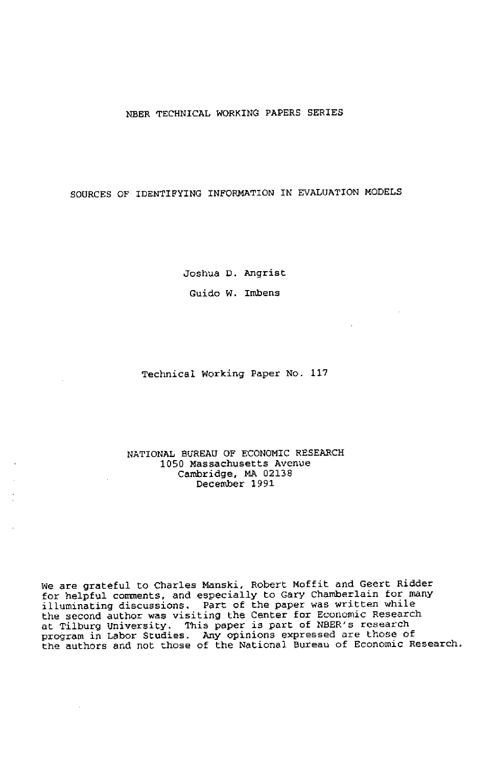### NBER TECHNICAL WORKING PAPERS SERIES

# SOURCES OF IDENTIFYING INFORMATION IN EVALUATION MODELS

Joshua U. Angrist Guido W. Imbens

Technical Working Paper No. 117

### NATIONAL EUREAU OF ECONOMIC RESEARCH 1050 Massachusetts Avenue Cambridge, NA 02138 December 1991

We are grateful to Charles Manski, Robert Moffit and Geert Ridder for helpful comments, and especially to Gary Chamberlain for many illuninsting discussions. Part of the paper was written while the second author was visiting the Center for Economic Research at Tilburg University. This paper is part of NBER's research program in Labor Studies. Any opinions expressed are those of the authors and not those of the National Buresu of Econonic Research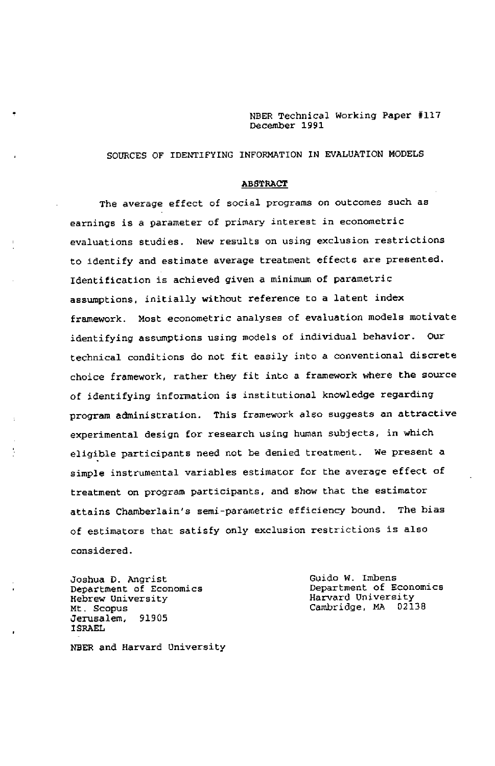NDER Technical Working Paper #117 December 1991

# SOURCES OF IDENTIFYING INFORMATION IN EVALUATION MODELS

#### ABSTRACT

The average effect of social programs on outcomes such as earnings is a parameter of primary interest in econometric evaluations studies. New results on using exclusion restrictions to identify and estimate average treatment effects are presented. Identification is achieved given a minimum of parametric assumptions, initially without reference to a latent index framework. Most econometric analyses of evaluation models motivate identifying assumptions using models of individual behavior. Our technical conditions do not fit easily into a conventional discrete choice framework, rather they fit into a framework where the source of identifyimg infonnation is institutional knowledge regarding program administration. This framework also suggests an attractive experimental design for research using human subjects, in which eligible participants need not be denied treatment. We present a simple instrumental variables estimator for the average effect of treatment on program participants, and show that the estimator attains Chamberlain's semi-parametric efficiency bound. The bias of estimators that satisfy only exclusion restrictions is also considered.

Department of Economics<br>
Hebrew University<br>
Harvard University Hebrew University<br>Mt. Scopus Cambridge. MA 02138<br>91905 Jerusalem, ISRAEL

ţ

Joshua D. Angrist<br>Department of Economics Guido W. Imbens<br>Department of Economics

NBER and Harvard University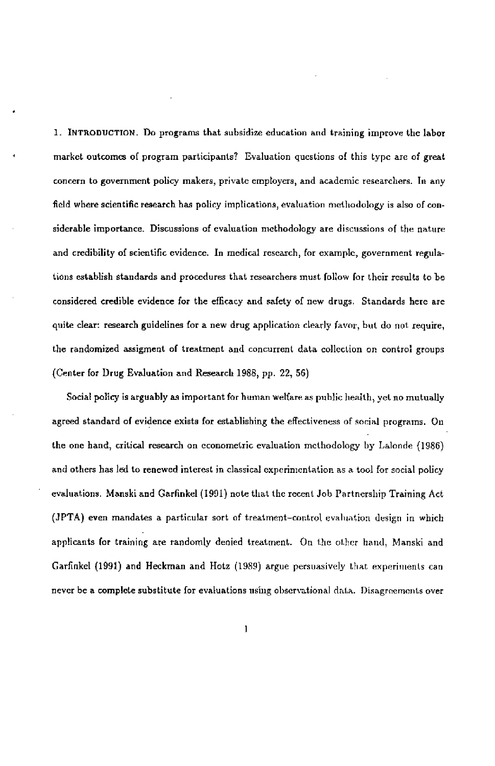1. INTRODUCTION. Do programs that subsidize education and training improve the labor market outcomes of program participants? Evaluation questions of this type arc of great concern to government policy makers, private employers, and academic researchers. In any field where scientific research has policy implications, evaluation methodology is also of considerable importance. Discussions of evaluation methodology are discussions of the nature and credibility of scientific evidence. In medical research, for example, government regulations establish standards and procedures that researchers must follow for their results to be considered credible evidence for the efficacy and safety of new drugs. Standards here are quite clear: research guidelines for a new drug application clearly favor, but do not require, the randomized assigment of treatment and concurrent data collection on control groups (Center for Drug Evaluation and Research 1988, pp. 22, 56)

Social policy is arguably as important for human welfare as public health, yet no mutually agreed standard of evidence exists for establishing the effectiveness of social programs. On the one hand, critical research on econometric evaluation methodology by Laloode (1986) and others has led to renewed interest in classical experimentation as a tool for social policy evaluations. Manski and Garfinkel (1991) note that the recent Job Partnership Training Act (JPTA) even mandates a particular sort of treatment—control evaluation design in which applicants (or training are randomly denied treatment. On the other hand, Manski and Garfinkel (1991) and Heckman and Hotz (1989) argue persuasively that experiments never be a complete substitute for evaluations using observational data. Disagreements over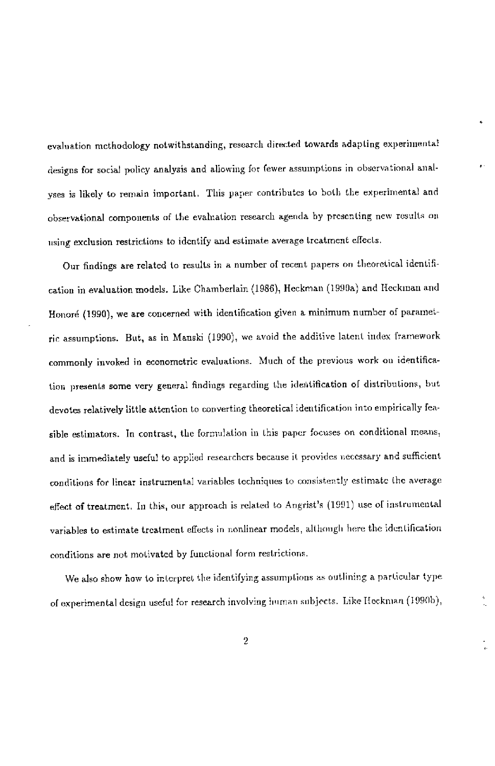evaluation methodology notwithstanding, research directed towards adapting experiniental designs for social policy analysis and allowing for fewer assumptions in observational analyses is likely to remain important. This paper contributes to both the experimental and observational components of the evaluation research agenda by presenting new results on using exclusion restrictions to identify and estimate average treatment effects.

Our findings are related to results in a number of recent papers on theoretical identification in evaluation models. Like Chamberlain (1986), Heckman (1990a) and Heckman and Honoré (1990), we are concerned with identification given a minimum number of parametrir assumptions. But, as in Manski (1990), we avoid the additive latent index framework commonly invoked in econometric evaluations. Much of the previous work on identification presents some very general findings regarding the ideitification of distributions, but devotes relatively little attention to converting theoretical identification into empirically feasible estimators. In contrast, the formulation in this paper focuses on conditional means, and is immediately useful to applied researchers because it provides necessary and sufficient conditions for linear instrumental variables techniques to consistently estimate the average effect of treatment, In this, our approach is related to Angrist's (1991) use of instrumental variables to estimate treatment effects in nonlinear models, although here the identification conditions are not motivated by functional form restrictions.

We also show how to interpret the identifying assumptions as outlining a particular type of experimental design useful for research involving human subjects. Like Heckman (1990b),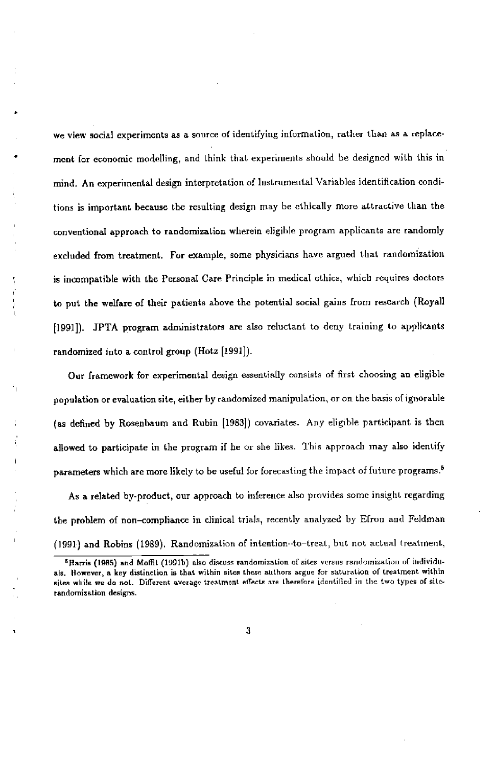• we view social experiments as a source of identifying information, rather than as a replacemerit for economic modelling, and think that experiments should be designcd with this in mind. An experimental design interpretation of Instrumental Variables identification conditions is important because the resulting design may be ethically more attractive than the conventional approach to randomization wherein eligible program applicants are randomly excluded from treatment. For example, some physicians have argued that randomization is incompatible with the Personal Care Principle in medical ethics, which requires doctors to put the welfare of their patients ahove the potential social gains from research (Royall [1991]). JPTA program administrators are also reluctant to deny training to applicants randomized into a control group (Hotz [1991]).

Our framework for experimental design essentially consists of first choosing an eligible population or evaluation site, either by randomized manipulation, or on the basis of ignorahie (as defined by Rosenhaum and Robin [1983]) covariates. Any eligible participant is then allowed to participate in the program if he or she likes. This approach may also identify parameters which are more likely to be useful for forecasting the impact of future programs.<sup>5</sup>

As a related by-product, our approach to inference also provides some insight regarding the problem of non-compliance in clinical trials, recently analyzed by Efron and Feldman (1991) and Robins (1989). Randomization of intention--to—treat, but not actual treatment,

<sup>&</sup>lt;sup>5</sup>Harris (1985) and Moffit (1991b) also discuss randomization of sites versus randomization of individuak. However, a key distinction is that within sites these authors argue for saturation of treatment within sites while we do not. Different average treatment effects are therefore identified in the two types of siterandomization designs.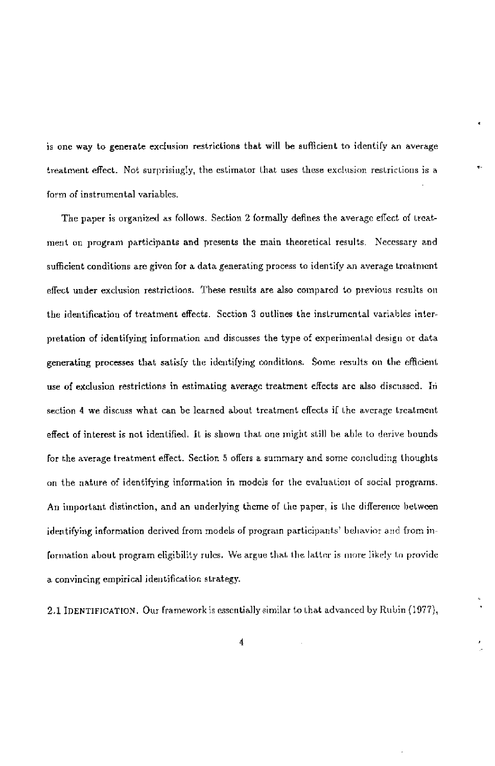is one way to generate exclusion restrictions that will be sufficient to identify an average treatment effect. Not surprisingly, the estimator that uses these exclusion restrictions is a form of instrumental variables.

The paper is organized as follows. Section 2 formally defines the average effect of treatment on prugram participants and presents the main theoretical results. Necessary and sufficient conditions are given for a data generating process to identify an average treatment effect under exclusion restrictioos. These results are also compared to previous results on the identification of treatment effects. Section 3 outlines the instrumental variables interpretation of identifying information and discusses the type of experimental design or data generating processes that satisfy the identifying conditions. Some results on the efficient use of exclusion restrictions in estimating average treatment effects are also discussed. In section 4 we discuss what can be learned about treatment effects if the average treatment effect of interest is not identified. It is shown that one might still he able to derive hounds for the average treatment effect. Section 5 offers a summary and some concluding thoughts on the nature of identifying information in models for the evaluation of social programs. An important distinction, and an underlying theme of the paper, is the difference between identifying information derived from models of program participants' behavior and from information about program eligibility rules. We argue that the latter is more likely to provide a convincing empirical identification strategy.

2.1 IDENTIFJCATON. Our framework is essentially similar to that advanced by Ruhin (1977),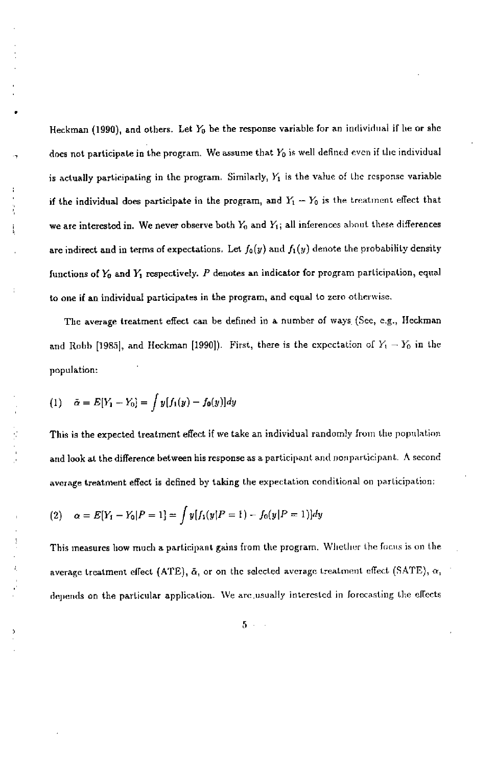Heckman (1990), and others. Let  $Y_0$  be the response variable for an individual if he or she does not participate in the program. We assume that  $Y_0$  is well defined even if the individual is actually participating in the program. Similarly,  $Y_1$  is the value of the response variable if the individual does participate in the program, and  $Y_1 - Y_0$  is the treatment effect that we are interested in. We never observe both  $Y_0$  and  $Y_1$ ; all inferences about these differences are indirect and in terms of expectations. Let  $f_0(y)$  and  $f_1(y)$  denote the probability density functions of  $Y_0$  and  $Y_1$  respectively.  $P$  denotes an indicator for program participation, equal to one if an individual participates in the program, and equal to zero otherwise.

The average treatment effect can be defined in a number of ways (See, e.g., Heckman and Robb [1985], and Heckman [1990]). First, there is the expectation of  $Y_1 - Y_0$  in the population:

(1) 
$$
\tilde{\alpha} = E[Y_1 - Y_0] = \int y[f_1(y) - f_0(y)]dy
$$

This is the expected treatment effect if we take an individual randomly from the population and look at the difference between his response as a participant and nonparticipant. A second average treatment effect is defined by taking the expectation conditional on participation:

(2) 
$$
\alpha = E[Y_1 - Y_0 | P = 1] = \int y[f_1(y|P = 1) - f_0(y|P = 1)]dy
$$

This measures how much a participant gains from the program. Whether the focus is on the average treatment effect (ATE),  $\bar{\alpha}$ , or on the selected average treatment effect (SATE),  $\alpha$ , depends on the particular application. We are usually interested in forecasting the effects

 $5 - 1$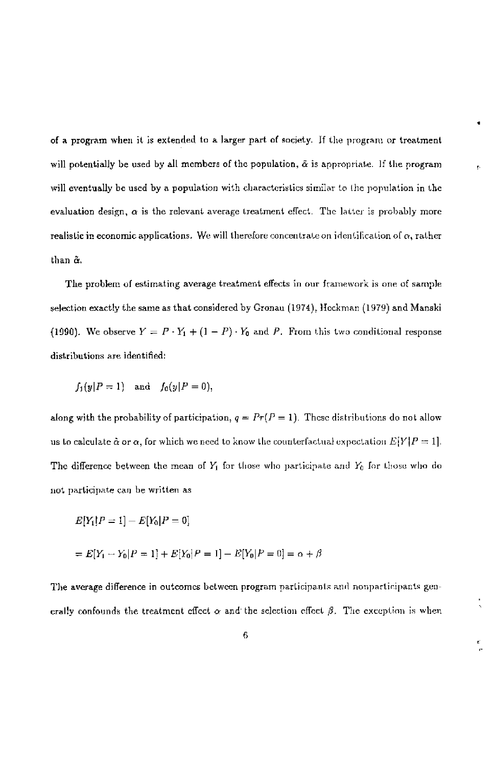of a program when it is extended tu a larger part of society. If the program or treatment will potentially be used by all members of the population,  $\tilde{\alpha}$  is appropriate. If the program will eventually be used by a population with characteristics similar to (lie population in the evaluation design,  $\alpha$  is the relevant average treatment effect. The latter is probably more realistic in economic applications. We will therefore concentrate on identification of  $\alpha$ , rather than &,

The problem of estimating average treatment effects in our framework is one of sample selection exactly the same as that considered by Gronau (1974), Heckman (1979) and Manski (1990). We observe  $Y = P \cdot Y_1 + (1 - P) \cdot Y_0$  and P. From this two conditional response distributions are ideotified

$$
f_1(y|P=1) \quad \text{and} \quad f_0(y|P=0),
$$

along with the probability of participation,  $q = Pr(P = 1)$ . These distributions do not allow us to calculate  $\hat{\alpha}$  or  $\alpha$ , for which we need to know the counterfactual expectation  $E[Y|P=1]$ . The difference between the mean of  $Y_1$  for those who participate and  $Y_0$  for those who do not participate can be written as

$$
E[Y_1|P = 1] - E[Y_0|P = 0]
$$
  
=  $E[Y_1 - Y_0|P = 1] + E[Y_0|P = 1] - E[Y_0|P = 0] = \alpha + \beta$ 

The average difference in outcomes between program participants and nonparticipants generally confounds the treatment effect  $\alpha$  and the selection effect  $\beta$ . The exception is when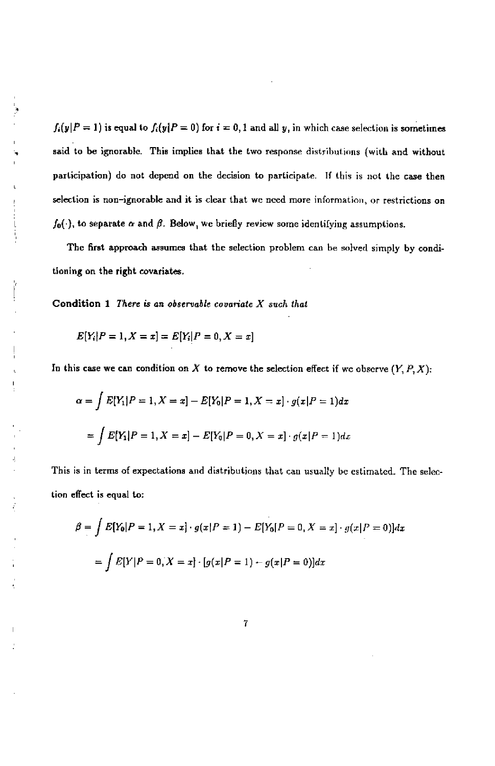$f_i(y|P = 1)$  is equal to  $f_i(y|P = 0)$  for  $i = 0,1$  and all y, in which case selection is sometimes said to be ignorable. This implies that the two response distributions (with and without participation) do not depend on the decision to participate. If this is not the case then selection is non—ignorable and it is clear that we need more information, or restrictions on  $f_0(\cdot)$ , to separate  $\alpha$  and  $\beta$ . Below, we briefly review some identifying assumptions.

The first approach assumes that the selection problem can be solved simply by conditioning on the right covariates.

Condition  $1$  There is an observable covariate  $X$  such that

$$
E[Y_i|P=1, X=x] = E[Y_i|P=0, X=x]
$$

þ

In this case we can condition on  $X$  to remove the selection effect if we observe  $(Y, P, X)$ :

$$
\alpha = \int E[Y_1|P=1, X=x] - E[Y_0|P=1, X=x] \cdot g(x|P=1) dx
$$
  
= 
$$
\int E[Y_1|P=1, X=x] - E[Y_0|P=0, X=x] \cdot g(x|P=1) dx
$$

This is in terms of expectations and distributions that can usually be estimated. The selection effect is equal to;

$$
\beta = \int E[Y_0|P = 1, X = x] \cdot g(x|P = 1) - E[Y_0|P = 0, X = x] \cdot g(x|P = 0)]dx
$$

$$
= \int E[Y|P = 0, X = x] \cdot [g(x|P = 1) - g(x|P = 0)]dx
$$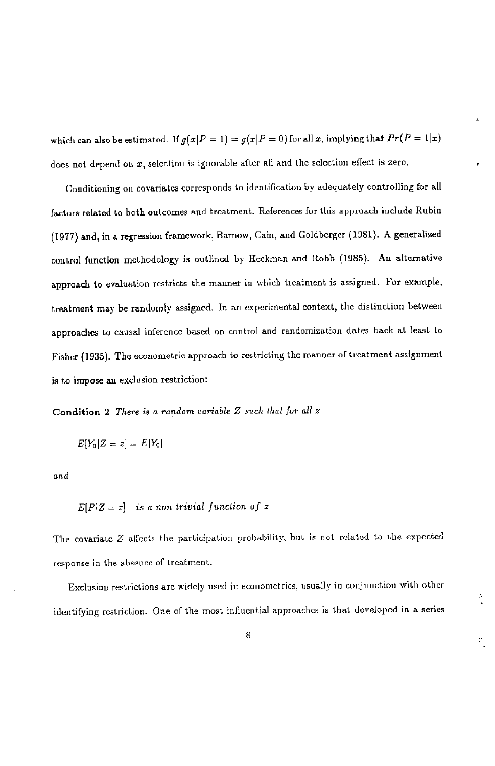which can also be estimated. If  $g(x|P = 1) = g(x|P = 0)$  for all x, implying that  $Pr(P = 1|x)$ does not depend on  $x$ , selection is ignorable after all and the selection effect is zero.

Conditioning on covariates corresponds to identification by adequately controlling for all factors related to both outcomes and treatment. References for this approach include Rubin (1977) and, in a regression framework, Barnow, Cain, and Coldherger (1981). A generalized control function methodology is outlined by Heckman and Robb (1985). An alternative approach to evaluation restricts the manner in which treatment is assigned. For example, treatment may be randomly assigned. In an experimental context, the distinction between approaches to causal inference based on control and randomization dates back at least to Fisher (1935). The econometric approach to restricting the manner of treatment assignment is to impose an exclusion restriction

Condition 2 There is a random variable  $Z$  such that for all  $z$ 

$$
E[Y_0|Z=z] = E[Y_0]
$$

and

 $E[P|Z=z]$  is a non trivial function of z

The covariate Z affects the participation probability, but is not related to the expected response in the absence of treatment.

Exclusion restrictions are widely used in econometrics, usually in conjunction with other identifying restriction. One of the most influential approaches is that developed in a series

y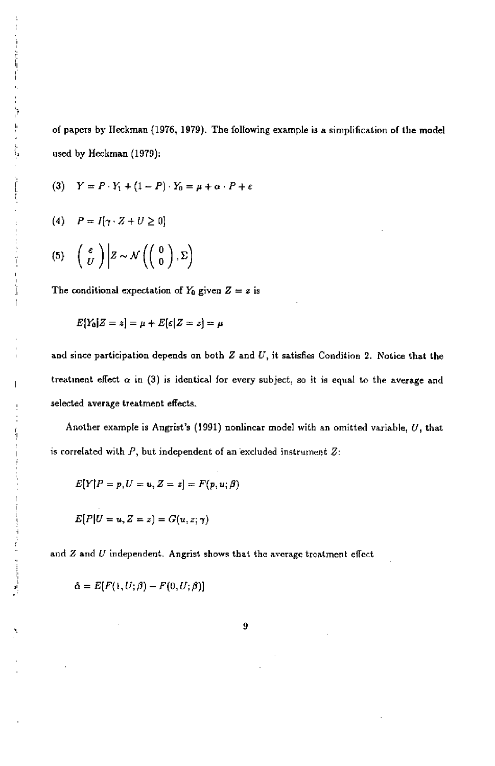of papers by Heckman (1976, 1979). The following example is a simplification of the model used by Heckman (1979):

$$
(3) \quad Y = P \cdot Y_1 + (1 - P) \cdot Y_0 = \mu + \alpha \cdot P + \varepsilon
$$

$$
(4) \quad P = I[\gamma \cdot Z + U \geq 0]
$$

$$
(5) \quad \left(\begin{array}{c} \varepsilon \\ U \end{array}\right) \bigg| Z \sim \mathcal{N}\left(\left(\begin{array}{c} 0 \\ 0 \end{array}\right), \Sigma\right)
$$

The conditional expectation of  $Y_0$  given  $Z = z$  is

$$
E[Y_0|Z=z]=\mu+E[\varepsilon|Z=z]=\mu
$$

and since participation depends on both  $Z$  and  $U$ , it satisfies Condition 2. Notice that the treatment effect  $\alpha$  in (3) is identical for every subject, so it is equal to the average and selected average treatment effects.

Another example is Angrist's (1991) nonlinear model with an omitted variable, U, that is correlated with  $P$ , but independent of an excluded instrument  $Z$ :

$$
E[Y|P=p, U=u, Z=z]=F(p, u; \beta)
$$

$$
E[P|U=u,Z=z) = G(u,z;\gamma)
$$

and  $Z$  and  $U$  independent. Angrist shows that the average treatment effect

$$
\tilde{\alpha} = E[F(1, U; \beta) - F(0, U; \beta)]
$$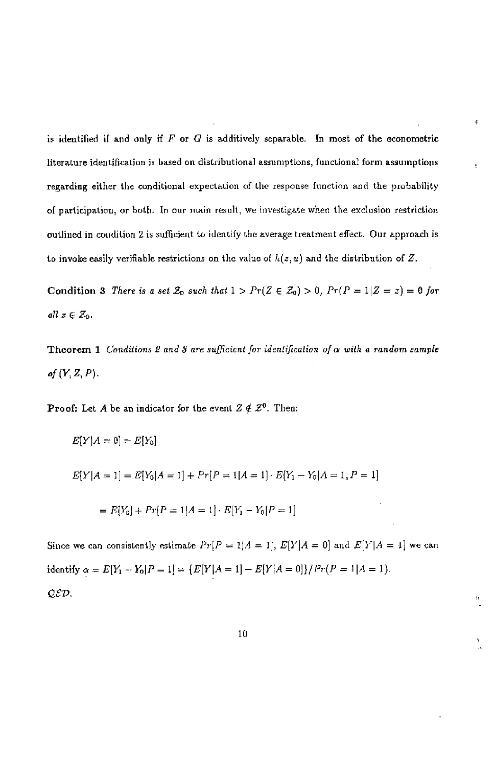is identified if and only if  $F$  or  $G$  is additively separable. In most of the econometric literature identification is based on distributional assumptions, functional form assumptions regarding either the conditional expectation of the response function and the probability of participation, or both. In our main result, we investigate when the exclusion restriction outlined in condition 2 is sufficient to identify the average treatment effect. Our approach is to invoke easily verifiable restrictions on the value of  $h(z, u)$  and the distribution of Z.

ę

Condition 3 There is a set  $\mathcal{Z}_0$  such that  $1 > Pr(Z \in \mathcal{Z}_0) > 0$ ,  $Pr(P = 1|Z = z) = 0$  for all  $z \in \mathcal{Z}_0$ .

Theorem 1 Conditions 2 and 3 are sufficient for identification of  $\alpha$  with a random sample of  $(Y, Z, P)$ .

**Proof:** Let A be an indicator for the event  $Z \notin \mathbb{Z}^0$ . Then:

 $E[Y|A = 0] = E[Y_0]$ 

$$
E[Y|A=1] = E[Y_0|A=1] + Pr[P=1|A=1] \cdot E[Y_1 - Y_0|A=1, P=1]
$$

$$
= E[Y_0] + Pr[P=1|A=1] \cdot E[Y_1 - Y_0|P=1]
$$

Since we can consistently estimate  $Pr[P = 1|A = 1], E[Y|A = 0]$  and  $E[Y|A = 1]$  we can identify  $\alpha = E[Y_1 - Y_0 | P = 1] = \{E[Y | A = 1] - E[Y | A = 0]\}/Pr(P = 1 | A = 1).$ QED.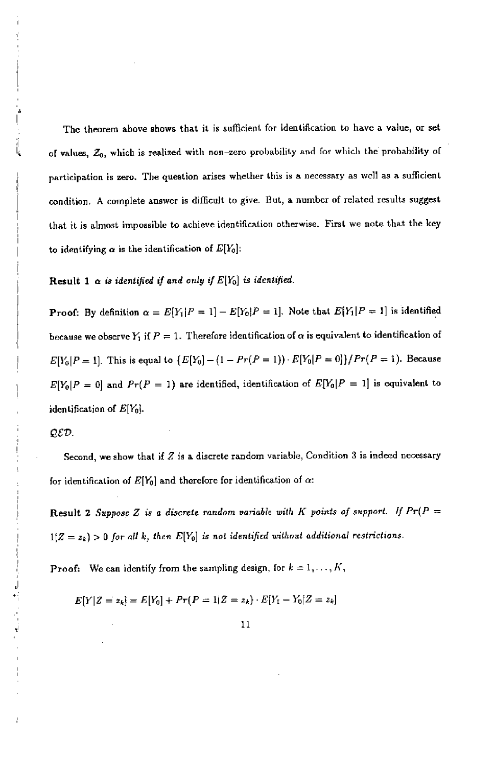The theorem above shows that it is sufficient for identification to have a value, or set of values,  $Z_0$ , which is realized with non-zero probability and for which the probability of participation is zero. The question arises whether this is a necessary as well as a sufficient condition A complete answer is difficult to give. But, a number of related results suggest that it is almost impossible to achieve identification otherwise. First we note that the key to identifying  $\alpha$  is the identification of  $E[Y_0]$ :

Result 1  $\alpha$  is identified if and only if  $E[Y_0]$  is identified.

**Proof:** By definition  $\alpha = E[Y_1|P = 1] - E[Y_0|P = 1]$ . Note that  $E[Y_1|P = 1]$  is identified because we observe  $Y_1$  if  $P=1.$  Therefore identification of  $\alpha$  is equivalent to identification of  $E[Y_0|P=1]$ . This is equal to  $\{E[Y_0] - (1 - Pr(P=1)) \cdot E[Y_0|P=0]\}/Pr(P=1)$ . Because  $E[Y_0|P=0]$  and  $Pr(P=1)$  are identified, identification of  $E[Y_0|P=1]$  is equivalent to identification of  $E[Y_0]$ .

#### $QED$ .

Second, we show that if  $Z$  is a discrete random variable, Condition 3 is indeed necessary for identification of  $E[Y_0]$  and therefore for identification of  $\alpha$ :

Result 2 Suppose Z is a discrete random variable with K points of support. If  $Pr(P =$  $1(Z = z_k) > 0$  for all k, then  $E[Y_0]$  is not identified without additional restrictions.

**Proof:** We can identify from the sampling design, for  $k = 1, \ldots, K$ ,

 $E[Y|Z = z_k] = E[Y_0] + Pr(P = 1|Z = z_k) \cdot E[Y_1 - Y_0|Z = z_k]$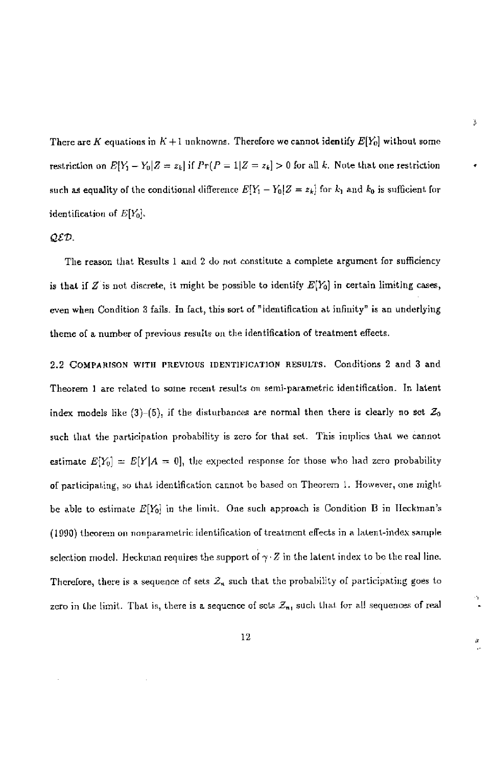There are K equations in K + I unknowns. Therefore we cannot identify  $E[Y_0]$  without some restriction on  $E[Y_1 - Y_0 | Z = z_k]$  if  $Pr(P = 1 | Z = z_k] > 0$  for all k. Note that one restriction such as equality of the conditional difference  $E[Y_1 - Y_0 | Z = z_k]$  for  $k_1$  and  $k_0$  is sufficient for identification of  $E[Y_0]$ .

Ĵ,

a

## QtD.

The reason that Results 1 and 2 do not constitute a complete argument for sufficiency is that if Z is not discrete, it might be possible to identify  $E[Y_0]$  in certain limiting cases, even when Condition 3 fails. In fact, this sort of "identification at infinity" is an underlying theme of a number of previous results on the identification of treatment effects.

2.2 COMPARISON WITH PREVIOUS IDENTIFICATION RESULTS. Conditions 2 and 3 and Theorem 1 are related to some recent results on semi-parametric identification. In latent index models like (3)–(5), if the disturbances are normal then there is clearly no set  $\mathcal{Z}_0$ such that the participation probability is zero for that set. This implies that we cannot estimate  $E[Y_0] = E[Y|A = 0]$ , the expected response for those who had zero probability of participating, so that identification cannot be based on Theorem 1. However, one might be able to estimate  $E[Y_0]$  in the limit. One such approach is Condition B in Heckman's (1900) theorem on nnsparametric identification of treatment effects in a latent-index sample selection model. Heckman requires the support of  $\gamma \cdot Z$  in the latent index to be the real line. Therefore, there is a sequence of sets  $Z_n$  such that the probability of participating goes to zero in the limit. That is, there is a sequence of sets  $\mathcal{Z}_n$ , such that for all sequences of real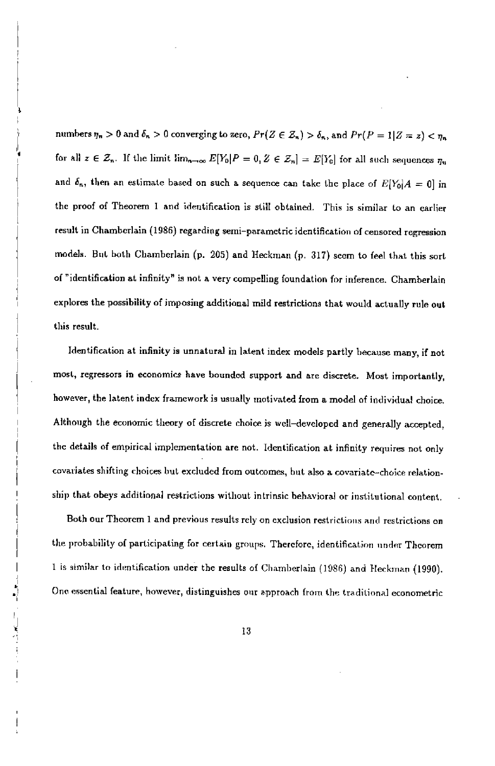numbers  $\eta_n > 0$  and  $\delta_n > 0$  converging to zero,  $Pr(Z \in \mathcal{Z}_n) > \delta_n$ , and  $Pr(P = 1|Z = z) < \eta_n$ for all  $z \in \mathcal{Z}_n$ . If the limit  $\lim_{n\to\infty} E[Y_0]P = 0, Z \in \mathcal{Z}_n] = E[Y_0]$  for all such sequences  $\eta_n$ and  $\delta_n$ , then an estimate based on such a sequence can take the place of  $E[Y_0|A = 0]$  in the proof of Theorem I and identification is still obtained. This is similar to an earlier result in Chamberlain (1986) regarding semi—parametric identification of censored regression models. But both Chamberlain (p. 205) and fleckman (p. 317) seem to feel that this sort of "identification at infinity" is not a very compelling foundation for inference, Chamberlain explores the possibility of imposing additional mild restrictions that would actually rule out this result.

Identification at infinity is unnatural in latent index models partly hecause many, if not most, regressors in economics have bounded support and are discrete. Most importantly, however, the latent index framework is usually motivated from a model of individual choice. Although the economic theory of discrete choice is well—developed and generally accepted, the details of empirical implementation are not. Identification at infinity requires not only covariates shifting choices but excluded from outcomes, but also a covariate-choice relationship that obeys additional restrictions without intrinsic behavioral or institutional content.

Both our Theorem 1 and previous results rely on exclusion restrictions and restrictions on the probability of participating for certain groups. Therefore, identification under Theorem 1 is similar to identification under the results of Chamberlain (1986) and Heckman (1990). One essential feature, however, distinguishes our approach from the traditional econometric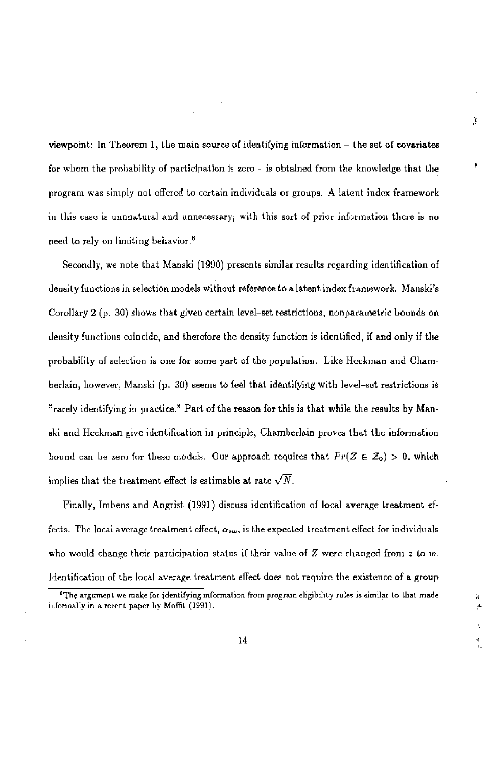viewpoint; In Theorem 1, the main source of identifying information — the set of covariates for whom the probability of participation is zero  $-$  is obtained from the knowledge that the program was simply not offered to certain individuals or groups. A latent index framework in this esso is unnnatoral and unnecessary; with this sort of prior information there is no need to rely on limiting behavior.6

ű

Secondly, we note that Manski (1990) presents similar results regarding identification of density functions in selection models without refereoce to a latent index framework, Manski's Corollary 2 (p. 30) shows that given certain level—set restrictions, nonparametric bounds on density functions coincide, and therefore the density function is identified, if and only if the probability of selection is one for some part of the population. Like Beckman and Chamberlain, however, Manski (p. 30) seems to feel that identifying with level-set restrictions is "rarely identifying in practice." Part of the reason for this is that while the results by Manski and Beckman give identification in principle, Chamherlain proves that the information bound can be zero for these models. Our approach requires that  $Pr(Z \in Z_0) > 0$ , which implies that the treatment effect is estimable at rate  $\sqrt{N}$ .

Finally, Imbens and Angrist (1991) discuss identification of local average treatment effects. The local average treatment effect,  $\alpha_{zw}$ , is the expected treatment effect for individuals who would change their participation status if their value of  $Z$  were changed from  $z$  to w. Identification of the local average treatment effect does not requiro the existence of a group

<sup>&</sup>lt;sup>6</sup>The argument we make for identifying information from program eligibility rules is similar to that made inlormally in arecent paper by MolfiL (1991).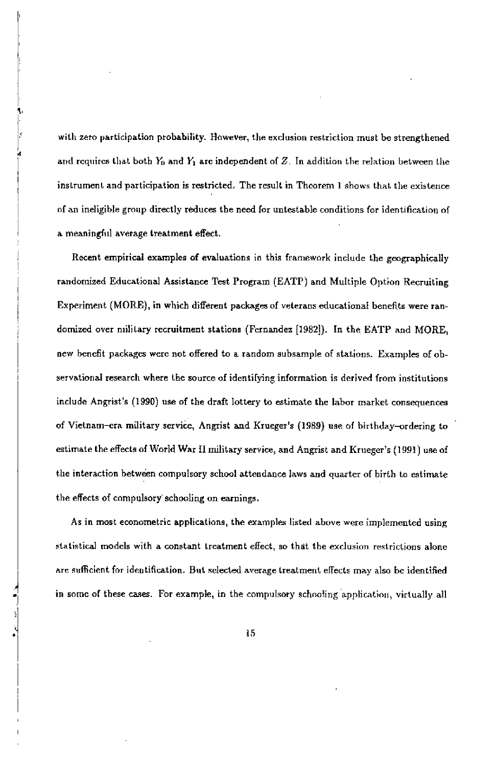with zero participation probability. However, the exclusion restriction must be strengthened and requires that both  $Y_0$  and  $Y_1$  are independent of Z. In addition the relation between the instrument and participation is restricted. The result in Theorem 1 shows that the existence of an ineligible group directly reduces the need for untestable conditions for identification of a meaningful average treatment effect.

Recent empirical examples of evaluations in this framework include the geographically randomized Educational Assistance Test Program (EAT?) and Multiple Option Recruiting Experiment (MORE), in which different packages of veterans educational benefits were randornized over military recruitment stations (Fernandez [1982]). In the EATP and MORE, new benefit packages were not offered to a random subsample of stations. Examples of observational research where the source of identifying information is derived from institutions include Angrist's (1990) use of the draft lottery to estimate the labor market consequences of Vietnam—era military service, Angrist and Krueger's (1989) use of birthday—ordering to estimate the effects of World War II military service, and Angrist and Krueger's (1991) use of the interaction hetwen compulsory school attendauce laws and quarter of hirth to estimate the effects of compulsory schooling on earnings.

As in most econometric applications, the examples listed above were implemented using statistical models with a constant treatment effect, so that the exclusion restrictions alone are sufficient for identification. But selected average treatment effects may also be identified in some of these cases. For example, in the compulsory schooling application, virtually all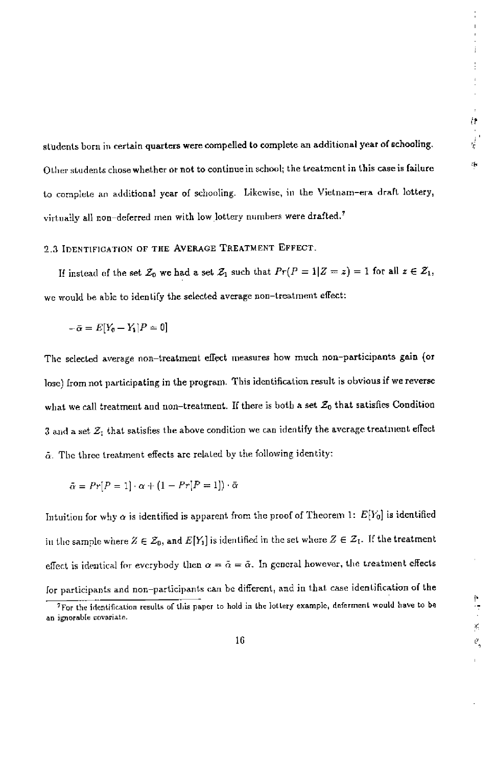$\theta_{\rm g}$ 

stndents born in certain quarters were compelled to complete an additional year of schooling. Other students chose whether or not to continue in school; the treatment in this case is failure to complete an additional year of schooling. Likewise, in the Vietnam-era draft lottery, virtually all non-deferred men with low lottery numbers were drafted.<sup>7</sup>

## 2.3 IDENTIFiCATION OF THE AVERAGE TREATMENT EFFECT.

If instead of the set  $\mathcal{Z}_0$  we had a set  $\mathcal{Z}_1$  such that  $Pr(P = 1|Z = z) = 1$  for all  $z \in \mathcal{Z}_1$ , we would he able to identify the selected average non—treatment effect:

$$
-\bar{\alpha}=E[Y_0-Y_1]P=0]
$$

The selected average non—treatment effçct measures how much non—participants gain (or lose) from not participating in the program. This identification result is obvious if we reverse what we call treatment and non-treatment. If there is both a set  $\mathcal{Z}_0$  that satisfies Condition 3 and a set  $\mathcal{Z}_1$  that satisfies the above condition we can identify the average treatment effect  $\tilde{\alpha}$ . The three treatment effects are related by the following identity:

$$
\tilde{\alpha}=Pr[P=1]\cdot\alpha+(1-Pr[P=1])\cdot\bar{\alpha}
$$

Intuition for why  $\alpha$  is identified is apparent from the proof of Theorem 1:  $E[Y_0]$  is identified in the sample where  $Z \in \mathcal{Z}_0$ , and  $E[Y_1]$  is identified in the set where  $Z \in \mathcal{Z}_1$ . If the treatment effect is identical for everybody then  $\alpha = \tilde{\alpha} = \tilde{\alpha}$ . In general however, the treatment effects

for participants and non-participants can be different, and in that case identification of the<br>  $\frac{1}{100}$  To the identification results of this paper to hold in the lottery example, deferment would have to be<br>  $\frac{1}{100$  $^{7}$ For the identification results of this paper to hold in the lottery example, deferment would have to be an ignorable covariate.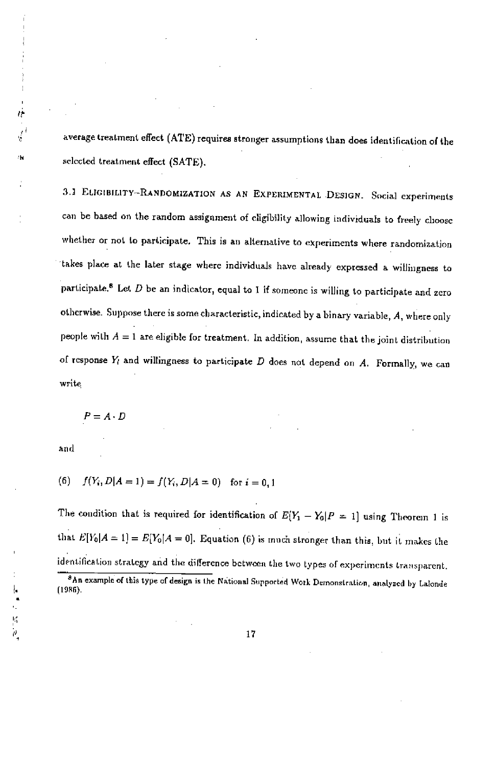average treatment effect (ATE) requires stronger assumptions than does identification of the selected treatment effect (SATE).

3.] EUGIBIL1TY-R4NDOM1ZATION AS AN EXPERIMENTAL DESIGN. Social experiments can be based on the random assignment of eligibility allowing individuals to freely choose whether or not to participate. This is an alternative to experiments where randomization takes place at the later stage where individuals have already expressed a willingness to participate.<sup>8</sup> Let  $D$  be an indicator, equal to I if someone is willing to participate and zero otherwise. Suppose there is some characteristic, indicated by a binary variable, A, where only people with  $A = 1$  are eligible for treatment. In addition, assume that the joint distribution of response  $Y_i$  and willingness to participate  $D$  does not depend on  $A$ . Formally, we can write

 $P=A\cdot D$ 

and

 $\frac{1}{\rho}$ 

à

١W

(6)  $f(Y_i, D|A = 1) = f(Y_i, D|A = 0)$  for  $i = 0, 1$ 

The condition that is required for identification of  $E[Y_1 - Y_0]P = 1$  using Theorem 1 is that  $E[Y_0|A=1] = E[Y_0|A=0]$ . Equation (6) is much stronger than this, but it makes the identification strategy and the difference between the two types of experiments transparent.

<sup>8</sup>An example of this type of design is the National Supported Work Demonstration, analyzed by Lalonde (11185).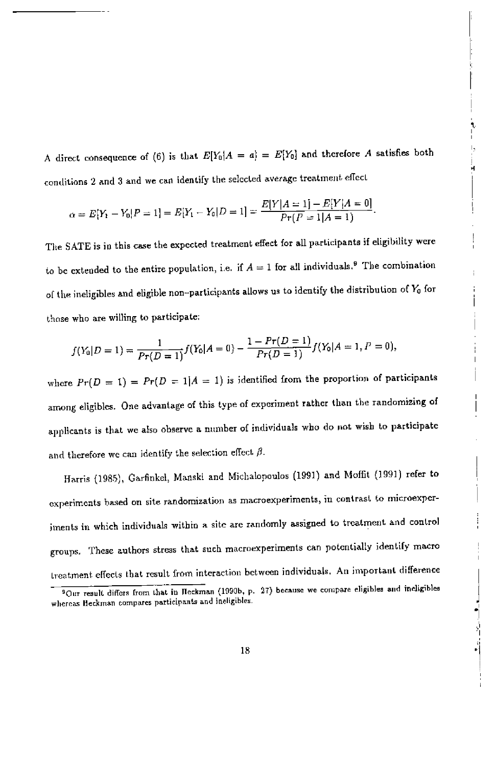A direct consequence of (6) is that  $E[Y_0|A = a] = E[Y_0]$  and therefore A satisfies both conditions 2 and 3 and we can identify the selected average treatment effect

$$
\alpha = E[Y_1 - Y_0 | P = 1] = E[Y_1 - Y_0 | D = 1] = \frac{E[Y|A = 1] - E[Y|A = 0]}{Pr(P = 1|A = 1)}.
$$

The SATE is io this ease the expected treatment effect for all participants if eligibility were to be extended to the entire population, i.e. if  $A = 1$  for all individuals.<sup>9</sup> The combination of the ineligibles and eligible non-participants allows us to identify the distribution of  $Y_0$  for those who are willing to participate;

$$
f(Y_0|D=1) = \frac{1}{Pr(D=1)}f(Y_0|A=0) - \frac{1-Pr(D=1)}{Pr(D=1)}f(Y_0|A=1, P=0),
$$

where  $Pr(D = 1) = Pr(D = 1|A = 1)$  is identified from the proportion of participants among eligibles. One advantage of this type of experiment rather than the randomizing of applicants is that we also observe a number of individuals who do not wish to participate and therefore we can identify the selection effect  $\beta$ .

Harris (1985), Garfinkel, Manski and Michalopoulos (1991) and Moffit (1991) refer to experiments based on site randomization as macroexperiments, in contrast to microexperiments in which individuals within a site are randomly assigned to treatment and control groups. These authors stress that such macroexperiments can potentially identify macro treatment effects that result from interaction between individuals. An important difference

<sup>&</sup>lt;sup>9</sup>Our result differs from that in Heckman (1990b, p. 27) because we compare eligibles and ineligibles whereas Heckman compares participants and ineligibles.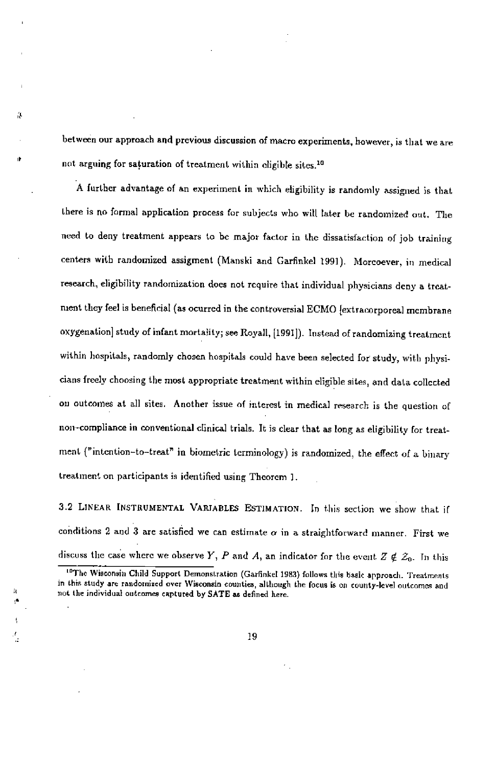between our approach and previous discussion of macro experiments, however, is that we are not arguing for saturation of treatment within cligible sites.<sup>10</sup>

医

A further advantage of an experiment in which eligibility is randomly assigned is that there is no formal application process for subjects who will later be randomized out. The need to deny treatment appears to he major factor in the dissatisfaction of job training centers with randomized assigment (Manski and Garfinkel 1991). Morcoever, in medical research, eligibility randomization does not require that individual physicians deny a treatnient they feel is beneficial (as ocurred in the controversial ECMO Jextracorporeal membrane oxygenation] study of infant mortality; see Royall, [1991]). Instead of randomizing treatment within hospitals, randomly chosen hospitals could have been selected for study, with physicians freely choosing the most appropriate treatment within eligible sites, and data collected on outcomes at all sites. Another issue of interest in medical research is the question of non—compliance in conventional clinical trials. It is clear that as long as eligibility for treatment ("intention-to-treat" in biometric terminology) is randomized, the effect of a binary treatment on participants is identified using Theorem I.

3.2 LINEAR INSTRUMENTAL VARIABLES ESTIMATION. In this section we show that if conditions 2 and 3 are satisfied we can estimate  $\alpha$  in a straightforward manner. First we discuss the case where we observe Y, P and A, an indicator for the event  $Z \notin \mathcal{Z}_0$ . In this

<sup>&</sup>lt;sup>10</sup>The Wisconsin Child Support Demonstration (Garfinkel 1983) follows this basic approach. Treatments in this study srs randomized over Wisconsin counties, sltliough the Focus is on county-level outcomes asd not the individual outcomes captured by SATE as defined here.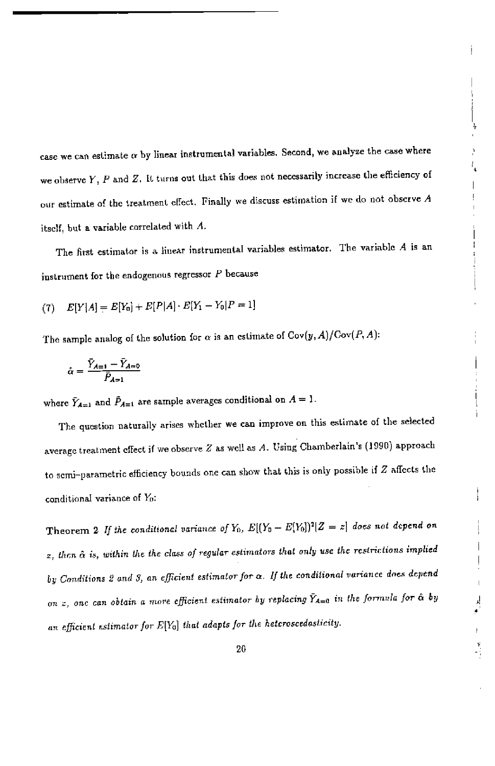case we can estimate  $\alpha$  by linear instrumental variables. Second, we analyze the case where we observe  $Y$ ,  $P$  and  $Z$ . It turns out that this does not necessarily increase the efficiency of our estimate of the treatment effect. Finally we discuss estimation if we do not observe  $A$ itself, but a variable correlated with  $A$ .

The first estimator is a linear instrumental variables estimator. The variable A is an instrument for the endogenous regressor  $P$  because

(7) 
$$
E[Y|A] = E[Y_0] + E[P|A] \cdot E[Y_1 - Y_0|P = 1]
$$

The sample analog of the solution for  $\alpha$  is an estimate of  $Cov(y, A)/Cov(P, A)$ :

$$
\hat{\alpha} = \frac{\bar{Y}_{A=1} - \bar{Y}_{A=0}}{\bar{P}_{A=1}}
$$

where  $\bar{Y}_{A=1}$  and  $\bar{P}_{A=1}$  are sample averages conditional on  $A=1$ .

The question naturally arises whether we can improve on this estimate of the selected average treatment effect if we observe Z as well as A. Using Chamberlain's (1990) approach to semi—parametric efficiency bounds one can show that this is only possible if Z affects the conditional variance of  $Y_0$ :

Theorem 2 If the conditional variance of  $Y_0$ ,  $E[(Y_0 - E[Y_0])^2 | Z = z]$  does not depend on  $z$ , then  $\hat{\alpha}$  is, within the the class of regular estimators that only use the restrictions implied by Conditions 2 and 3, an efficient estimator for  $\alpha$ . If the conditional variance does depend on z, one can obtain a more efficient estimator by replacing  $\bar{Y}_{A=0}$  in the formula for  $\hat{\alpha}$  by an efficient estimator for  $E[Y_0]$  that adapts for the heteroscedasticity.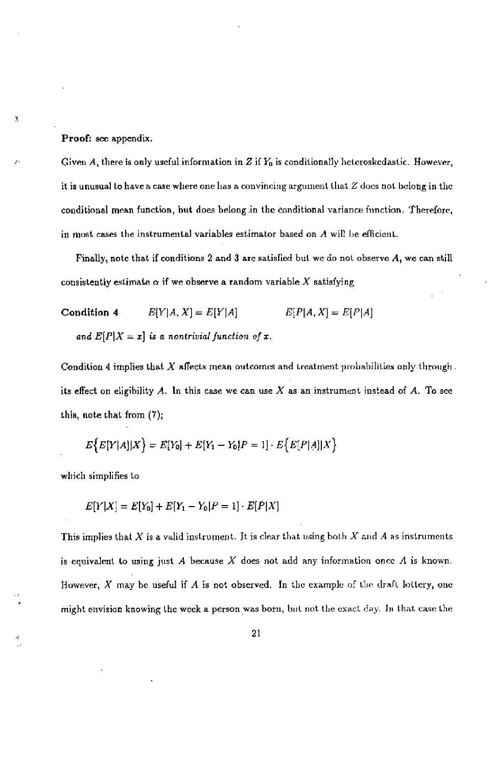Proof: see appendix.

y,

Given A, there is only useful information in Z if  $Y_0$  is conditionally heteroskedastic. However, it is unusual to have a case where one has a convincing argument that  $Z$  does not belong in the conditional mean function, but does belong in the conditional variance function. Therefore, in most cases the instrumental variables estimator based on  $\Lambda$  will be efficient.

Finally, note that if conditions 2 and 3 are satisfied but we do not observe  $A$ , we can still consistently estimate  $\alpha$  if we observe a random variable X satisfying

Condition 4  $E[Y|A, X] = E[Y|A]$   $E[P|A, X] = E[P|A]$ and  $E[P|X=x]$  is a nontrivial function of x,

Condition 4 implies that  $X$  affects mean outcomes and treatment probabilities only through. its effect on eligibility A. In this case we can use X as an instrument instead of A. To see this, note that from (7);

$$
E\{E[Y|A]|X\} = E[Y_0] + E[Y_1 - Y_0]P = 1] \cdot E\{E[P|A]|X\}
$$

which simplifies to

$$
E[Y|X] = E[Y_0] + E[Y_1 - Y_0|P = 1] \cdot E[P|X]
$$

This implies that  $X$  is a valid instrument. It is clear that using both  $X$  and  $A$  as instruments is equivalent to using just A because X does not add any information once A is known. However,  $X$  may be useful if  $A$  is not observed. In the example of the draft lottery, one might envision knowing the week a person was born, but not the exact day. In that case the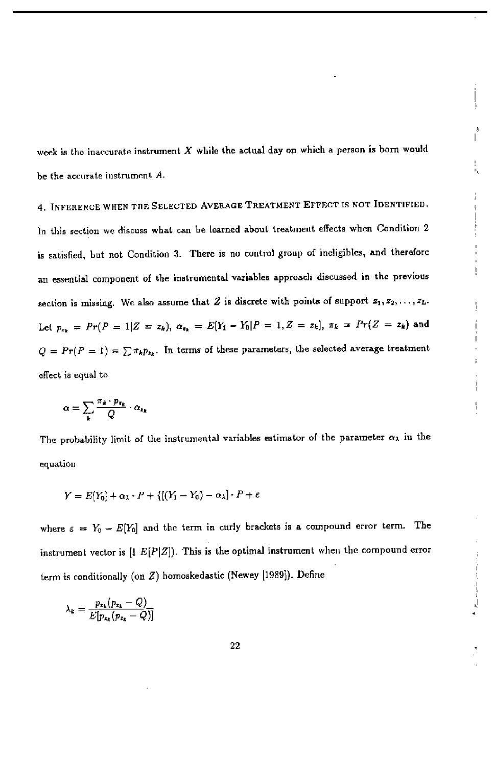week is the inaccurate instrument  $X$  while the actual day on which a person is born would be the accurate instrument A.

4. INFERENCE WHEN THE SELECTED AVERAGE TREATMENT EFFECT IS NOT IDENTIFIED. In this section we discuss what can be learned about treatment effects when Condition 2 is satislied, but not Condition 3. There is no control group of ineligibles, and therefore an essential component of the instrumental variables approach discussed in the previous section is missing. We also assume that 2 is discrete with points of support  $z_1, z_2, \ldots, z_L$ . Let  $p_{x_k} = Pr(P = 1|Z = z_k), \ \alpha_{x_k} = E[Y_1 - Y_0|P = 1, Z = z_k], \ \pi_k = Pr(Z = z_k)$  and  $Q = Pr(P = 1) = \sum \pi_k p_{k_k}$ . In terms of these parameters, the selected average treatment effect is equal to

$$
\alpha = \sum_{k} \frac{\pi_k \cdot p_{\pi_k}}{Q} \cdot \alpha_{\pi_k}
$$

The probability limit of the instrumental variables estimator of the parameter  $\alpha_{\lambda}$  in the equation

$$
Y = E[Y_0] + \alpha_{\lambda} \cdot P + \{[(Y_1 - Y_0) - \alpha_{\lambda}] \cdot P + \varepsilon
$$

where  $\varepsilon = Y_0 - E[Y_0]$  and the term in curly brackets is a compound error term. The instrument vector is  $[1 E[P|Z])$ . This is the optimal instrument when the compound error term is conditionally (on Z) homoskedsstic (Newey [1989)). Define

$$
\lambda_k = \frac{p_{x_k}(p_{x_k} - Q)}{E[p_{x_k}(p_{x_k} - Q)]}
$$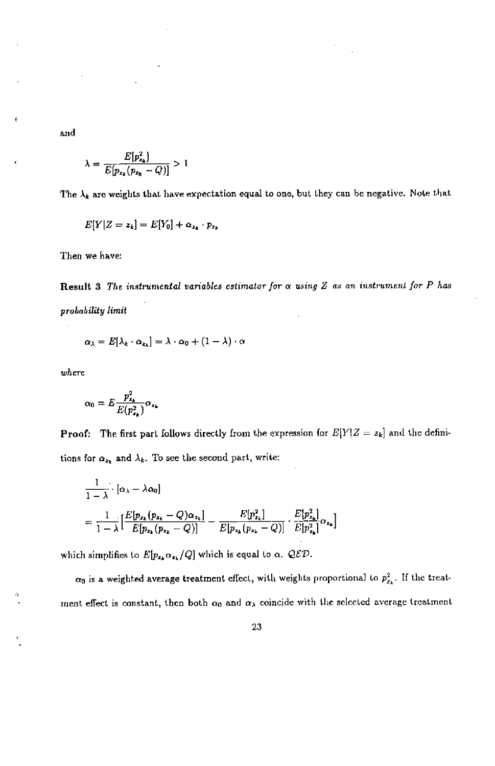and

$$
\lambda = \frac{E[p_{x_k}^2]}{E[p_{x_k}(p_{x_k} - Q)]} > 1
$$

The  $\lambda_k$  are weights that have expectation equal to one, but they can be negative. Note that

$$
E[Y|Z=z_k]=E[Y_0]+\alpha_{z_k}\cdot p_{z_k}
$$

Then we have:

Result 3 The instrumental variables estimator for  $\alpha$  using  $Z$  as an instrument for  $P$  has probability limit

$$
\alpha_{\lambda} = E[\lambda_k \cdot \alpha_{z_k}] = \lambda \cdot \alpha_0 + (1 - \lambda) \cdot \alpha
$$

where

$$
\alpha_0 = E \frac{p_{x_k}^2}{E(p_{x_k}^2)} \alpha_{x_k}
$$

**Proof:** The first part follows directly from the expression for  $E[Y|Z = z_k]$  and the definitions for  $\alpha_{z_k}$  and  $\lambda_k$ . To see the second part, write:

$$
\begin{split} &\frac{1}{1-\lambda}\cdot[\alpha_{\lambda}-\lambda\alpha_{0}] \\ &=\frac{1}{1-\lambda}\big[\frac{E[p_{x_{k}}(p_{x_{k}}-Q)\alpha_{z_{k}}]}{E[p_{x_{k}}(p_{x_{k}}-Q)]}-\frac{E[p_{x_{k}}^{2}]}{E[p_{x_{k}}(p_{x_{k}}-Q)]}\cdot\frac{E[p_{x_{k}}^{2}]}{E[p_{x_{k}}^{2}]} \alpha_{z_{k}}\big] \end{split}
$$

which simplifies to  $E[p_{x_k}/Q]$  which is equal to  $\alpha$ . QED.

 $\alpha_0$  is a weighted average treatment effect, with weights proportional to  $p_{x_k}^2$ . If the treatment effect is constant, then both  $\alpha_0$  and  $\alpha_\lambda$  coincide with the selected average treatment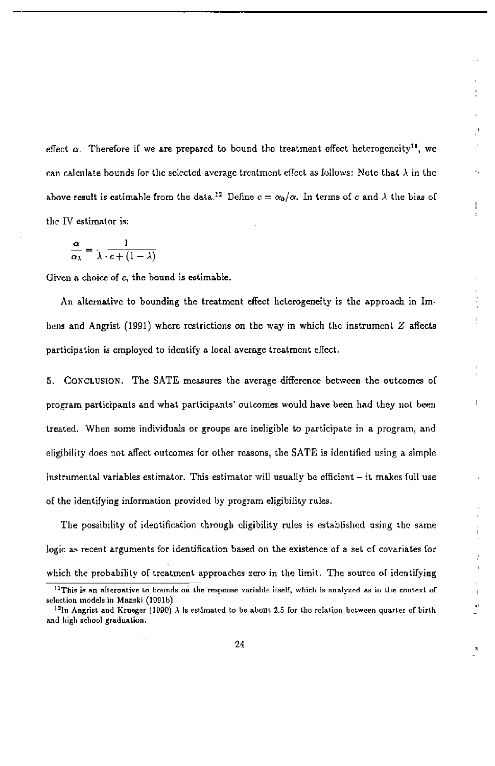effect  $\alpha$ . Therefore if we are prepared to bound the treatment effect heterogeneity<sup>11</sup>, we can calculate bounds for the selected average treatment effect as follows: Note that  $\lambda$  in the above result is estimable from the data.<sup>12</sup> Define  $c = \alpha_0/\alpha$ . In terms of c and  $\lambda$  the bias of the IV estimator is;

$$
\frac{\alpha}{\alpha_{\lambda}} = \frac{1}{\lambda \cdot c + (1 - \lambda)}
$$

Given a choice of c, the bound is estimable.

An alternative to bounding the treatment effect heterogeneity is the approach in Imhens and Angrist (1991) where restrictions on the way in which the instrument  $Z$  affects participation is employed to identify a local average treatment effect.

5. Conclusion. The SATE measures the average difference between the outcomes of program participants and what participants' outcomes would have been had they not been treated. When some individuals or groupe are ineligible to participate in a program, and eligibility does not affect outcomes for other reasons, the SATE is identified using a simple instrumental variables estimator. This estimator wiil usually be efficiont — it makes full use of the identifying information provided by program eligibility rules.

The possibility of ideotification through eligibility rules is established using the same logic as recent arguments for identification based on the existence of a set of covariates for which the probability of treatment approaches zero in the limit. The source of identifying

<sup>&</sup>lt;sup>11</sup>This is an alternative to bounds on the response variable itself, which is analyzed as in the context of selection models in Maaski (1991b)

 $12$ In Angrist and Krueger (1990)  $\lambda$  is estimated to be about 2.5 for the relation between quarter of birth. and high school graduation.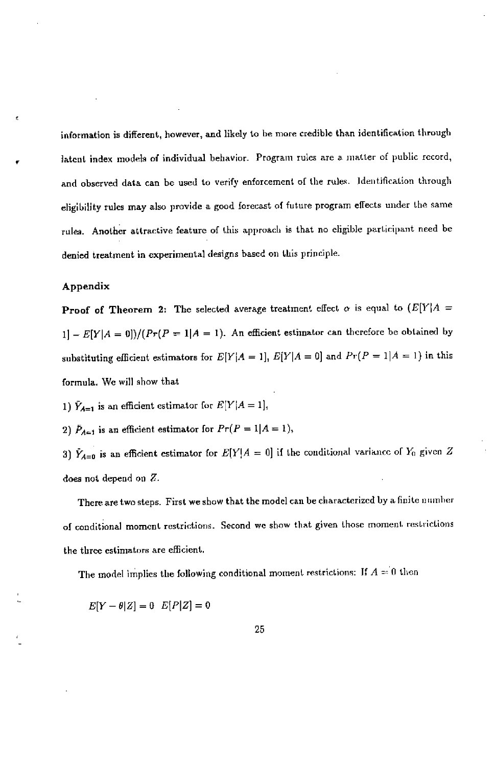information is different, however, and likely to he more credible than identification through latent index models of individual behavior. Program rules are a matter of public record, and observed data can be used to verify enforcement of the rules. identification through eligibility rules may also provide a good forecast of future program effects under the same rules. Another attractive feature of this approach is that no eligible participant need be denied treatment in experimental designs based on this principle.

#### Appendix

**Proof of Theorem 2:** The selected average treatment effect  $\alpha$  is equal to  $(E[Y|A =$  $1] - E[Y|A = 0]/(Pr(P = 1|A = 1)).$  An efficient estimator can therefore be obtained by substituting efficient estimators for  $E[Y|A=1]$ ,  $E[Y|A=0]$  and  $Pr(P=1|A=1)$  in this formula. We will show that

1)  $\hat{Y}_{A=1}$  is an efficient estimator for  $E[Y|A=1]$ ,

2)  $\bar{P}_{A=1}$  is an efficient estimator for  $Pr(P=1|A=1)$ ,

3)  $\hat{Y}_{A=0}$  is an efficient estimator for  $E[Y|A=0]$  if the conditional variance of  $Y_0$  given Z does not depend on Z.

There are two steps. First we show that the model can be characterized by a finite onniher of conditional moment restrictions. Second we show that given those monsent restrictions the three estimators are efficient.

The model implies the following conditional moment restrictions: If  $A = 0$  then

 $E[Y - \theta | Z] = 0$   $E[P|Z] = 0$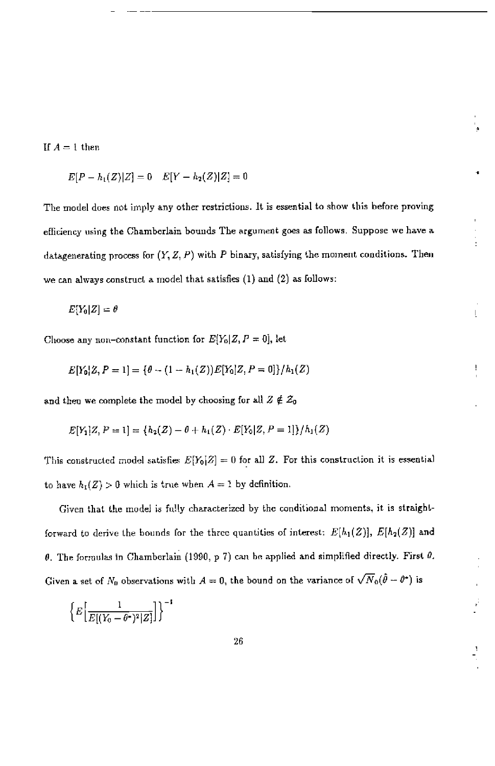If  $A = 1$  then

 $E[P - h_1(Z)|Z] = 0$   $E[Y - h_2(Z)|Z] = 0$ 

The model does not imply any other restrictions. It is essential to show this before proving efficiency using the Chamberlain bounds The argument goes as follows. Suppose we have a datagenerating process for  $(Y, Z, P)$  with P binary, satisfying the moment conditions. Then we can always construct a model that satisfies  $(1)$  and  $(2)$  as follows:

$$
E[Y_0|Z] = \theta
$$

Choose any non-constant function for  $E[Y_0|Z, P = 0]$ , let

$$
E[Y_0|Z, P = 1] = \{ \theta - (1 - h_1(Z))E[Y_0|Z, P = 0] \} / h_1(Z)
$$

and then we complete the model by choosing for all  $Z \notin \mathcal{Z}_0$ 

$$
E[Y_1|Z, P = 1] = \{h_2(Z) - \theta + h_1(Z) \cdot E[Y_0|Z, P = 1]\}/h_1(Z)
$$

This constructed model satisfies  $E[Y_0|Z] = 0$  for all Z. For this construction it is essential to have  $h_1(Z) > 0$  which is true when  $A = 1$  by definition.

Given that the model is fully characterized by the conditional moments, it is straightforward to derive the bounds for the three quantities of interest:  $E[h_1(Z)], E[h_2(Z)]$  and  $\theta$ . The formulas in Chamberlain (1990, p 7) can be applied and simplified directly. First  $\theta$ . Given a set of  $N_0$  observations with  $A = 0$ , the bound on the variance of  $\sqrt{N_0}(\hat{\theta} - \theta^*)$  is

$$
\Big\{E\Big[\frac{1}{E[(Y_0-\theta^{\bullet})^2|Z]}\Big]\Big\}^{-1}
$$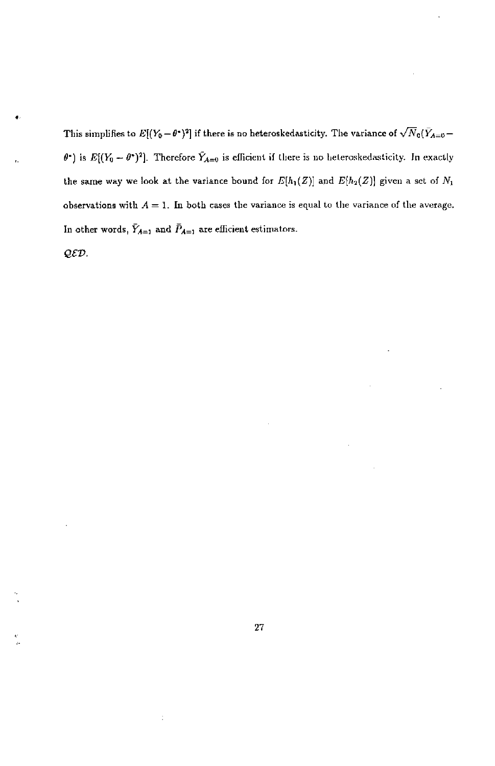This simplifies to  $E[(Y_0 - \theta^*)^2]$  if there is no heteroskedasticity. The variance of  $\sqrt{N}_0(\bar{Y}_{A=0} \theta$ ) is  $E[(Y_0 - \theta^*)^2]$ . Therefore  $\tilde{Y}_{A=0}$  is efficient if there is no heteroskedasticity. In exactly the same way we look at the variance bound for  $E[h_1(Z)]$  and  $E[h_2(Z)]$  given a set of  $N_1$ observations with  $A = 1$ . In both cases the variance is equal to the variance of the average. In other words,  $\bar Y_{A=1}$  and  $\bar P_{A=1}$  are efficient estimators.

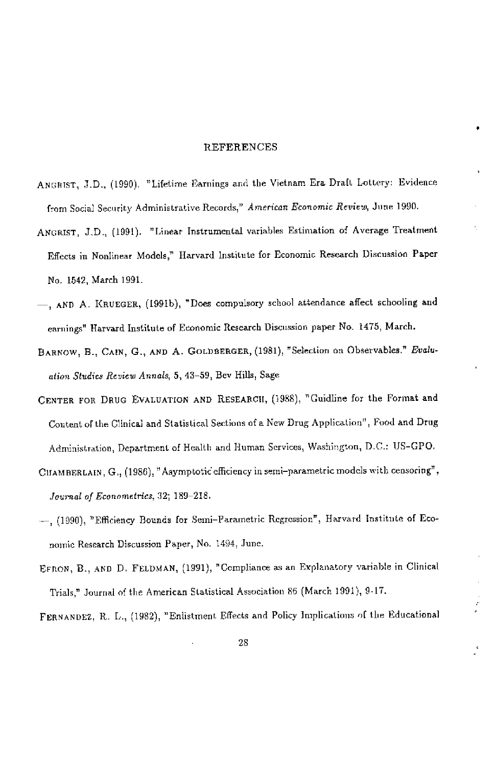### REFERENCES

- ANGRIST, 3D., (1090). "Lifetime Earnings and the Vietnam Era Draft Lottery: Evidence from Social Security Administrative Records," American Economic Review, June 1990.
- ANGRIST, J.D., (1991). "Linear Instrumental variables Estimation of Average Treatment Effects in Nonlinear Models," Harvard Institute for Economic Research Discussion Paper No. 1542, March 1991.
- AND A. KRUEGER, (1991b), "Does compulsory school attendance affect schooling and earnings" Harvard Institute of Economic Research Discussion paper No. 1475, March.
- BARNOW, B., CAIN, G., AND A. GOLDBERGER, (1981), "Selection on Observables." Evaluation Studies Review Annals, 5, 43-59, Bev Hills, Sage
- CENTER FOR DRUG EVALUATION AND RESEARCH, (1988), "Cuidline for the Format and Content of the Clinical and Statistical Sections of a New Drug Application", Food and Drog Administration, Department of Health and Human Services, Washington, D.C.: US—CPO,
- CIIAMBERLAIN,  $G_{11}$  (1986), "Asymptotic efficiency in semi-parametric models with censoring", feurnal of Econometrics, 32; 189—218.
- -, (1990), "Efficiency Bounds for Semi-Parametric Regression", Harvard Institute of Economic Research Discussion Paper, No. 1494, June.
- ERROR, B., AND D. FELDMAN, (1991), "Cempliance as an Explanatory variable in Clinical Trials," Journal of the American Statistical Association 86 (March 1991), 9-17.

FERNANDEZ, R. L., (1982), "Enlistment Effects and Policy lmplicatioos of the Educational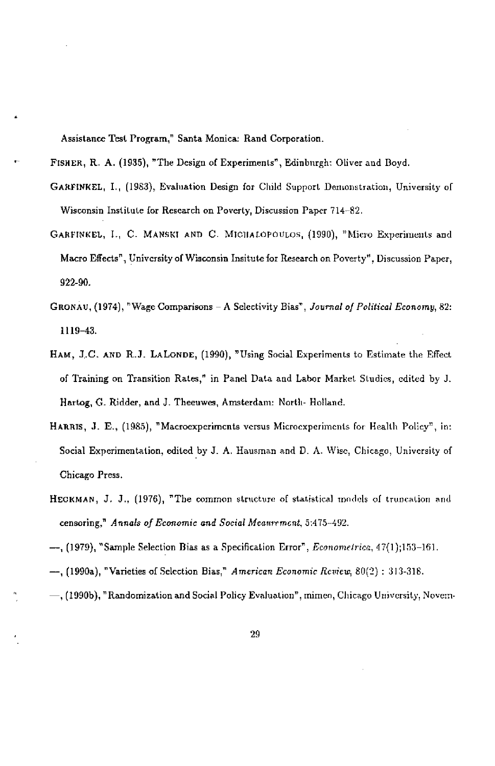Assistance Test Program," Santa Monica: Rand Corporation.

FISHER, R. A. (1935), "The Design of Experiments", Edinburgh: Oliver and Boyd.

- GARFINKEL, I., (1983), Evaluation Design for Cluld Support Demonstration, University of Wisconsin Institute for Research on Poverty, Discussion Paper 714-52.
- GARFINKEL, I., C. MANSKT AND C. MICIIALOPOULOS, (1990), "Micro Experiments and Macro Effects", University of Wisconsin Insitute for Research on Poverty", Discussioo Paper, 922-90.
- GRONAV, (1974), "Wage Comparisons A Selectivity Bias", Journal of Political Economy, 82: 1119—43.
- HAM, J.C. AND R.J. LALONDE, (1990), "Using Social Experiments to Estimate the Effect of Training on Transition Rates," in Panel Data and Labor Market Studies, edited by J. Hartog, G. Ridder, and J. Theenwes, Amsterdam: North- Holland.
- HARRIS, 3. E., (1985), "Macroexperimcnts versus Microcxperiments for Health Policy", in: Social Experimentation, edited by J. A. Hausman and D. A. Wise, Chicago, University of Chicago Press.
- HECKMAN, J. J., (1976), "The common structure of statistical models of truncation and censoring," Annals of Economic and Social Meaurement, 5:475-492.
- —, (1979), "Sample Selection Bias as a Specification Error", Econometrice, 47(1);153—161.
- —, (1990a), "Varieties of Selection Bias," American Economic Review, 80(2) : 313-318.
- (I990b), "Randomization and Social Pohcy Evaluation", inimen, Chicago University, Novern-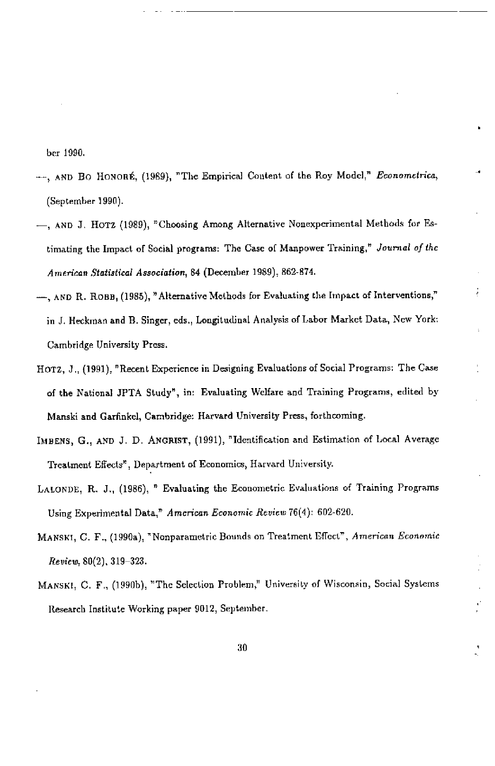ber 1990

- -, AND BO HONORÉ, (1989), "The Empirical Content of the Roy Model," Econometrica, (September 1990).
- $-$ , AND J. HOTZ (1989), "Choosing Among Alternative Nonexperimental Methods for Estimating the Impact of Social programs: The Case of Manpower Training," Journal of the Am erican Statistical Association, 84 (December 1989), 862-874.
- $-$ , AND R. ROBB, (1985), "Alternative Methods for Evaluating the Impact of Interventions," in 3. Heckman and B. Singer, eds., Longitudinal Aoalyeis of Labor Market Data, New York: Cambridge University Press.
- HOTZ, 3., (1991), "Recent Experience in Designing Evaluations of Social Programs: The Case of the National JPTA Study", in: Evaluating Welfare and Training Programs, edited by Manski and Garfiokel, Cambridge: Harvard University Press, forthcoming.
- IMBENS, G., AND J. D. ANGRIST, (1991), "Identification and Estimation of Local Average Treatment Effects", Department of Economics, Harvard University.
- LALONDE, R. 3., (1986), " Evaluating the Econometric Evaluations of Training Programs Using Experimental Data," American Economic Review 76(4): 602-620.
- MANSKI, C. F., (1990a), "Nonparametric Bounds on Treatment Effect", American Economic Review, 80(2), 319—323.
- MANSEI, C. F., (1990h), "The Selection Problem," University of Wisconsin, Social Systems Research Institute Working paper 9012, September.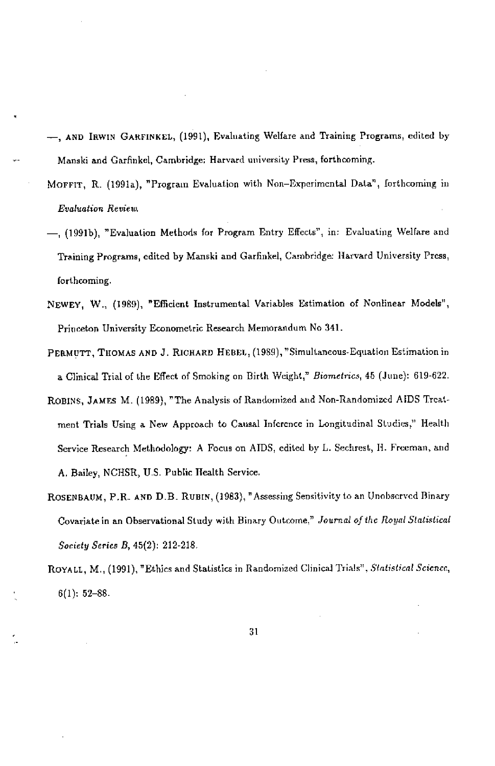- —, AND IRWIN GARFINNEL, (1991), Evaluating Wellare and Training Programs, edited by Manski and Garfinkel, Cambridge: Harvard university Press, forthcoming.
- MOFFIT, R. (1991a), "Program Evaluation with Non-Experimental Data", forthcoming in Evaluation Review.
- —, (1991b), "Evaluation Methods for Program Entry Effects", in; Evaluating Welfare and Training Programs, edited by Manski and Garfinkel, Cambridge; Harvard University Press, forthcoming.
- NEWEY, W., (1989), "Efficient Instrumental Variables Estimation of Nonlinear Models", Princeton University Econometric Research Memorandum No 341.
- PERMUTT, THOMAS AND J. RICHARD HEBEL, (1989), "Simultaneous-Equation Estimation in a Clinical Trial of the Effect of Smoking on Birth Weight," Biometrics, 45 (June): 619-622.
- ROBINS, JAMES M. (1989), "The Analysis of Randomized and Non-Randomized AIDS Treatment Trials Using a New Approach to Causal Infcrcnce in Longitudinal Studies," Health Service Research Methodology! A Focus on AIDS, edited by L. Sechrest, H. Freeman, and A. Bailey, NCHSR, U.S. Public Health Service.
- ROSENBAUM, P.R. AND D.B. RUBIN, (1983), "Assessing Sensitivity to an Unobserved Binary Covariate in an Observational Study with Binary Outcome," Journal of the Royal Statistical Society Series B, 45(2); 212-218.
- ROYALL, M., (1991), "Ethics and Statistics in Randomized Clinical Trials", Statistical Science, 6(1); 52—88.